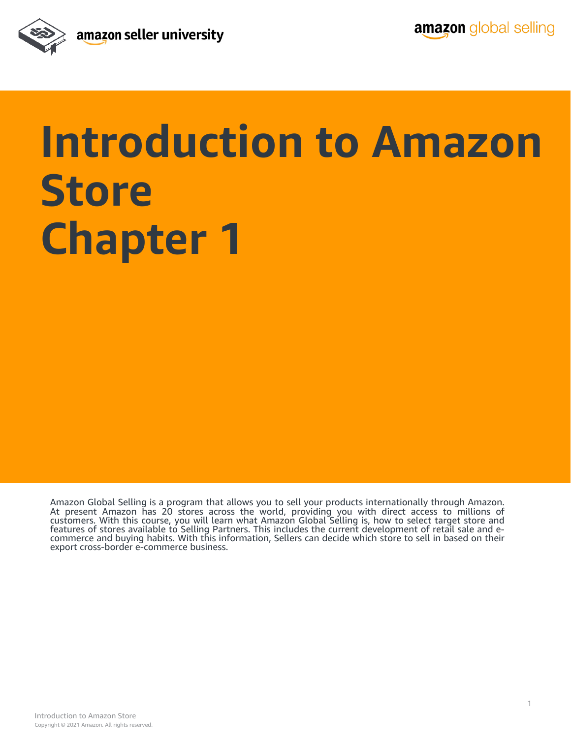

## **Introduction to Amazon Store Chapter 1**

Amazon Global Selling is a program that allows you to sell your products internationally through Amazon.<br>At present Amazon has 20 stores across the world, providing you with direct access to millions of customers. With this course, you will learn what Amazon Global Selling is, how to select target store and features of stores available to Selling Partners. This includes the current development of retail sale and e-<br>commerce and buying habits. With this information, Sellers can decide which store to sell in based on their export cross-border e-commerce business.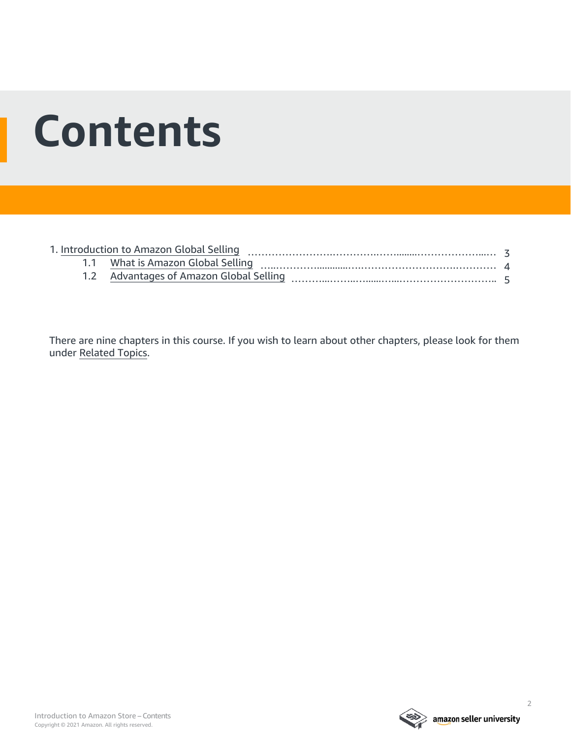## **Contents**

There are nine chapters in this course. If you wish to learn about other chapters, please look for them under [Related Topics.](#page-6-0)

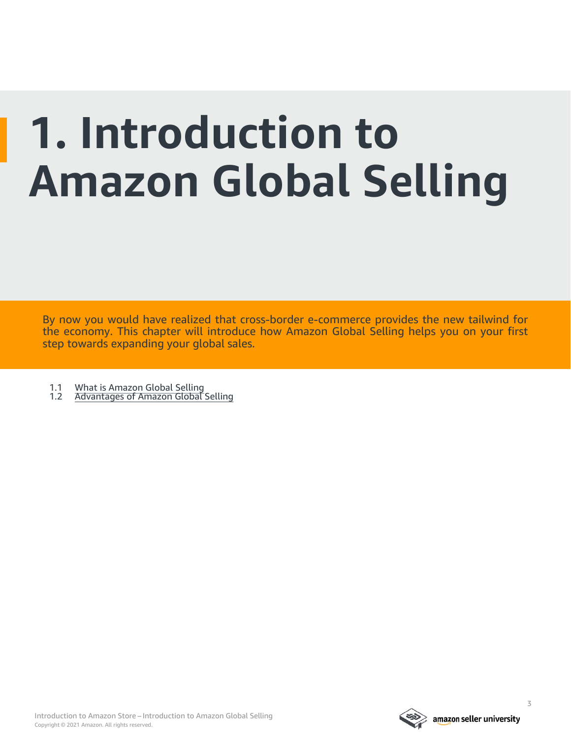# <span id="page-2-0"></span>**1. Introduction to Amazon Global Selling**

By now you would have realized that cross-border e-commerce provides the new tailwind for the economy. This chapter will introduce how Amazon Global Selling helps you on your first step towards expanding your global sales.

- 1.1 [What is Amazon Global Selling](#page-3-0)<br>1.2 Advantages of Amazon Global
- [Advantages of Amazon Global Selling](#page-4-0)

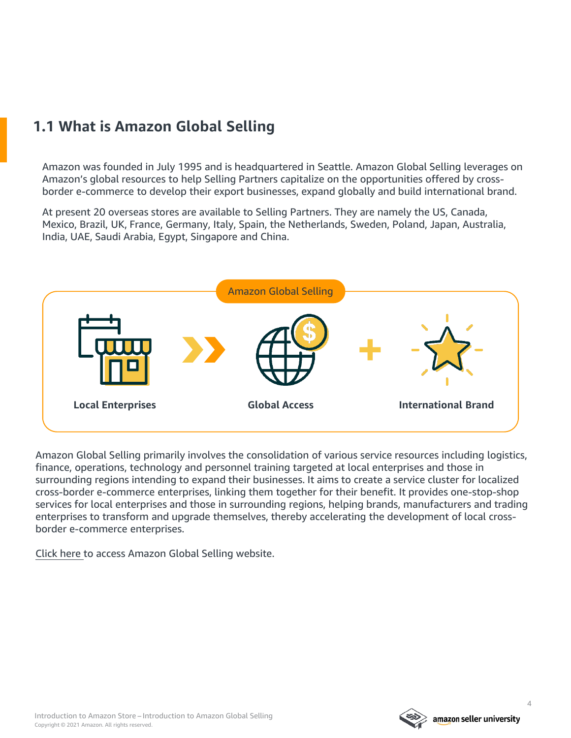### <span id="page-3-0"></span>**1.1 What is Amazon Global Selling**

Amazon was founded in July 1995 and is headquartered in Seattle. Amazon Global Selling leverages on Amazon's global resources to help Selling Partners capitalize on the opportunities offered by crossborder e-commerce to develop their export businesses, expand globally and build international brand.

At present 20 overseas stores are available to Selling Partners. They are namely the US, Canada, Mexico, Brazil, UK, France, Germany, Italy, Spain, the Netherlands, Sweden, Poland, Japan, Australia, India, UAE, Saudi Arabia, Egypt, Singapore and China.



Amazon Global Selling primarily involves the consolidation of various service resources including logistics, finance, operations, technology and personnel training targeted at local enterprises and those in surrounding regions intending to expand their businesses. It aims to create a service cluster for localized cross-border e-commerce enterprises, linking them together for their benefit. It provides one-stop-shop services for local enterprises and those in surrounding regions, helping brands, manufacturers and trading enterprises to transform and upgrade themselves, thereby accelerating the development of local crossborder e-commerce enterprises.

[Click here t](https://services.amazon.sg/)o access Amazon Global Selling website.

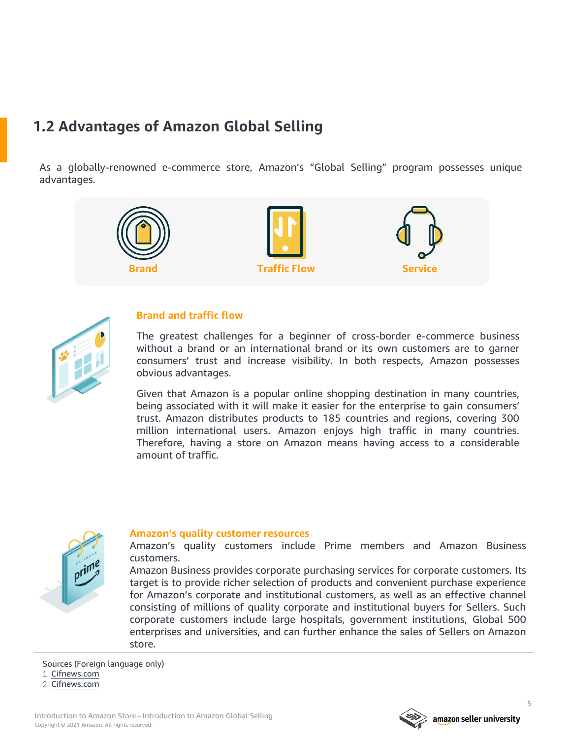### <span id="page-4-0"></span>**1.2 Advantages of Amazon Global Selling**

As a globally-renowned e-commerce store, Amazon's "Global Selling" program possesses unique advantages.





#### **Brand and traffic flow**

The greatest challenges for a beginner of cross-border e-commerce business without a brand or an international brand or its own customers are to garner consumers' trust and increase visibility. In both respects, Amazon possesses obvious advantages.

Given that Amazon is a popular online shopping destination in many countries, being associated with it will make it easier for the enterprise to gain consumers' trust. Amazon distributes products to 185 countries and regions, covering 300 million international users. Amazon enjoys high traffic in many countries. Therefore, having a store on Amazon means having access to a considerable amount of traffic.



#### **Amazon's quality customer resources**

Amazon's quality customers include Prime members and Amazon Business customers.

Amazon Business provides corporate purchasing services for corporate customers. Its target is to provide richer selection of products and convenient purchase experience for Amazon's corporate and institutional customers, as well as an effective channel consisting of millions of quality corporate and institutional buyers for Sellers. Such corporate customers include large hospitals, government institutions, Global 500 enterprises and universities, and can further enhance the sales of Sellers on Amazon store.

Sources (Foreign language only) 1. [Cifnews.com](https://www.cifnews.com/article/22320?origin=tag_wish_america) 2. [Cifnews.com](https://www.cifnews.com/article/35732?origin=tag_otto)

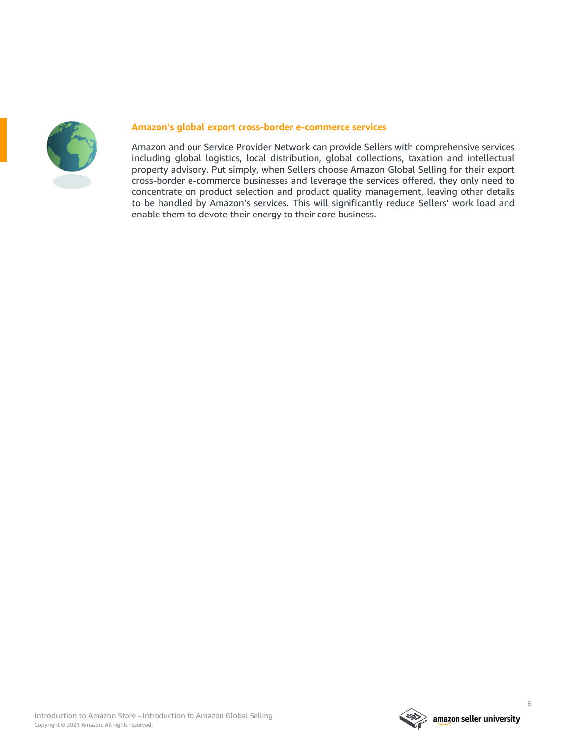

#### **Amazon's global export cross-border e-commerce services**

Amazon and our Service Provider Network can provide Sellers with comprehensive services including global logistics, local distribution, global collections, taxation and intellectual property advisory. Put simply, when Sellers choose Amazon Global Selling for their export cross-border e-commerce businesses and leverage the services offered, they only need to concentrate on product selection and product quality management, leaving other details to be handled by Amazon's services. This will significantly reduce Sellers' work load and enable them to devote their energy to their core business.